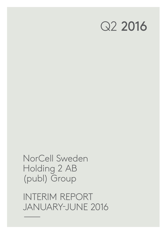# Q2 2016

NorCell Sweden Holding 2 AB (publ) Group

INTERIM REPORT JANUARY-JUNE 2016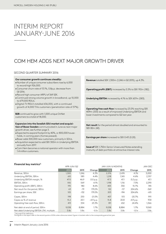### INTERIM REPORT JANUARY-JUNE 2016

### COM HEM ADDS NEXT MAJOR GROWTH DRIVER

#### SECOND QUARTER SUMMARY 2016

#### **Our consumer growth continues steadily:**

- •Number of unique consumer subscribers rose by 6,000 to record high 926,000.
- •Consumer churn rate of 13.1%, 0.8p.p. decrease from Q1 2016.
- •Record high consumer ARPU of 369 SEK.
- •Continued strong volume growth in broadband, up 10,000 to 679,000 RGUs.
- Digital-TV RGU's totalled 636,000, with a continued growth of 4,000 TiVo customers (penetration rate of 37%).

**B2B** continued to grow with 1,000 unique OnNet customers to a total of 18,000.

**Expansion into the Swedish SDU market and acquisition of Boxer Sweden** communicated in June as next major

- growth driver, see further page 3. • Expected to expand footprint by 40%, or 800,000 households, in coming years (homes passed).
- •Boxer adds 500,000 new customers, primarily in SDUs.
- •Acquisition expected to add SEK 300m in Underlying EBITDA annually from 2017.
- •Com Hem becomes a national operator with more than 1.4 million customers.

**Revenue** totalled SEK 1,300m (1,246 in Q2 2015), up 4.3%.

**Operating profit (EBIT)** increased by 5.5% to SEK 192m (182).

**Underlying EBITDA** increased by 4.1% to SEK 607m (583).

**Operating free cash flow** increased by 23.0% reaching SEK 409m (333) as a result of improved Underlying EBITDA and lower investments compared to Q2 last year.

**Net result** for the period almost doubled and amounted to SEK 82m (42).

**Earnings per share** increased to SEK 0.43 (0.20).

**Issue of** SEK 1,750m Senior Unsecured Notes extending maturity of debt portfolio at attractive interest rate.

#### **Financial key metrics1)**

|                                            |       | APR-JUN/Q2 |             |       | <b>JAN-JUN/6 MONTHS</b> |             |        |
|--------------------------------------------|-------|------------|-------------|-------|-------------------------|-------------|--------|
|                                            | 2016  | 2015       | Change      | 2016  | 2015                    | Change      | 2015   |
| Revenue, SEKm                              | 1,300 | 1,246      | 4.3%        | 2,576 | 2,474                   | 4.1%        | 5,000  |
| Underlying EBITDA, SEKm                    | 610   | 585        | 4.4%        | 1,218 | 1,165                   | 4.6%        | 2,357  |
| Underlying EBITDA margin, %                | 47.0  | 46.9       | 0.0 p.p.    | 47.3  | 47.1                    | 0.2 p.p.    | 47.1   |
| EBITDA, SEKm                               | 592   | 569        | 4.1%        | 1,198 | 1,116                   | 7.3%        | 2,290  |
| Operating profit (EBIT), SEKm              | 195   | 180        | 8.6%        | 405   | 350                     | 15.7%       | 745    |
| Net result for the period, SEKm            | 63    | $-79$      | 179.2%      | 122   | $-117$                  | 204.6%      | $-369$ |
| Earnings per share, SEK                    | 105   | $-132$     | 179.2%      | 203   | $-194$                  | 204.6%      | $-615$ |
| Capex, SEKm                                | 198   | 250        | $-21.0%$    | 407   | 513                     | $-20.7%$    | 991    |
| Capex as % of revenue                      | 15.2  | 20.1       | $-4.9$ p.p. | 15.8  | 20.8                    | $-4.9$ p.p. | 19.8   |
| Operating free cash flow, SEKm             | 413   | 334        | 23.3%       | 811   | 652                     | 24.4%       | 1,366  |
| Net debt at end of period, SEKm            | 9,038 | 8.884      | 1.7%        | 9,038 | 8.884                   | 1.7%        | 9,060  |
| Net debt/Underlying EBITDA LTM, multiple   | 3.8x  | 3.8x       | $-0.1x$     | 3.8x  | 3.8x                    | $-0.1x$     | 3.8x   |
| <sup>1)</sup> See page 15 for definitions. |       |            |             |       |                         |             |        |

The figures in this report refer to the second quarter of 2016 unless otherwise stated. Figures in brackets refer to the corresponding period last year.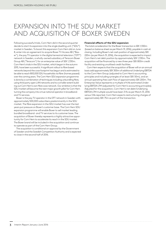### EXPANSION INTO THE SDU MARKET AND ACQUISITION OF BOXER SWEDEN

Following successful trials, Com Hem did in the second quarter decide to start its expansion into the single dwelling unit ("SDU") market in Sweden. To boost this expansion Com Hem did on June 8, enter into an agreement to acquire Boxer TV Access AB ("Boxer"), the pay TV operator in the digital terrestrial television ("DTT") network in Sweden, a wholly-owned subsidiary of Teracom Boxer Group AB ("Teracom") for an enterprise value of SEK 1,330m. Com Hem's trials in the SDU market, which began in the autumn 2015, have been successful. A significant rollout to fibre based networks beyond the coax footprint has begun and is estimated to be able to reach 800,000 SDU households via fibre (homes passed) over the coming years. The Com Hem SDU expansion programme is done by a combination of techniques including unbundling fibre, using third party open LAN networks and to a smaller extent building out Com Hem's own fibre coax network. Our ambition is that the SDU market will become the next major growth pillar for Com Hem turning the company into a true national operator in broadbandand TV-services.

Boxer is the pay TV operator in the DTT network in Sweden with approximately 500,000 subscribers predominantly in the SDU market. The fibre expansion in the SDU market has over the last years put pressure on Boxer's customer base. The Com Hem SDU expansion programme will enable Boxer to sell market leading bundled broadband- and TV-services to its customer base. The acquisition of Boxer thereby represents a highly attractive opportunity for Com Hem to accelerate its reach in the SDU market. The Boxer brand will be included in the acquisition and continue to operate as part of the Com Hem Group.

The acquisition is conditional on approval by the Government of Sweden and the Swedish Competition Authority and is expected to close in the second half of 2016.

#### **Financial effects of the SDU expansion**

 The total consideration for the Boxer transaction is SEK 1,550m (based on balance sheet as per March 31, 2016), payable in cash at closing. Including Boxer's net cash position of approximately SEK 220m (as per March 31, 2016), the acquisition is expected to impact Com Hem's net debt position by approximately SEK 1,330m. The acquisition will be financed by a new three year SEK 800m credit facility and existing unutilised credit facilities.

Com Hem expects that the acquisition of Boxer will on an annual basis add approximately SEK 300m of additional Underlying EBITDA to the Com Hem Group (adjusted to Com Hem's accounting principles and including synergies of at least SEK 50m), and an annual operating free cash Flow of approximately SEK 200m. The Enterprise Value represents a multiple of 4.4x estimated Underlying EBITDA LTM (adjusted for Com Hem's accounting principles). Adjusted for the acquisition, Com Hem's net debt/Underlying EBITDA LTM multiple would have been 3.9x as per March 31, 2016 versus 3.8x reported. Com Hem expects restructuring charges of approximately SEK 75m as part of the transaction.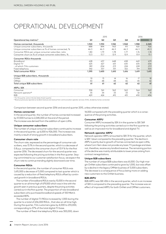# OPERATIONAL DEVELOPMENT

|                                                                                                                                                                                                                            |       | 2015  |       |       | 2016  |       |
|----------------------------------------------------------------------------------------------------------------------------------------------------------------------------------------------------------------------------|-------|-------|-------|-------|-------|-------|
| Operational key metrics <sup>1)</sup>                                                                                                                                                                                      | Q1    | Q2    | Q3    | $Q$ 4 | Q1    | Q2    |
| Homes connected, thousands                                                                                                                                                                                                 | 1,920 | 1,930 | 1,942 | 1,968 | 1.988 | 2,045 |
| Unique consumer subscribers, thousands                                                                                                                                                                                     | 888   | 894   | 903   | 911   | 920   | 926   |
| Unique consumer subscribers as % of homes connected, %                                                                                                                                                                     | 46.3  | 46.3  | 46.5  | 46.3  | 46.3  | 45.3  |
| Consumer RGUs per unique consumer subscriber, ratio                                                                                                                                                                        | 1.80  | 1.79  | 1.78  | 1.77  | 1.76  | 1.74  |
| Consumer churn as % of unique consumer subscribers, %                                                                                                                                                                      | 13.3  | 13.7  | 12.9  | 12.9  | 13.9  | 13.1  |
| <b>Consumer RGUs thousands</b>                                                                                                                                                                                             |       |       |       |       |       |       |
| <b>Broadband</b>                                                                                                                                                                                                           | 628   | 637   | 648   | 658   | 669   | 679   |
| Digital-TV                                                                                                                                                                                                                 | 625   | 627   | 631   | 635   | 635   | 636   |
| - of which TiVo customers                                                                                                                                                                                                  | 189   | 204   | 213   | 224   | 228   | 233   |
| Fixed telephony                                                                                                                                                                                                            | 342   | 337   | 331   | 322   | 314   | 300   |
| Total consumer RGUs                                                                                                                                                                                                        | 1,595 | 1,600 | 1,610 | 1,616 | 1,619 | 1,615 |
| Unique B2B subscribers, thousands                                                                                                                                                                                          |       |       |       |       |       |       |
| OnNet                                                                                                                                                                                                                      | 10    | 13    | 14    | 16    | 17    | 18    |
| OffNet                                                                                                                                                                                                                     | 50    | 48    | 48    | 46    | 45    | 42    |
| Total unique B2B subscribers                                                                                                                                                                                               | 61    | 61    | 62    | 62    | 62    | 61    |
| ARPU, SEK                                                                                                                                                                                                                  |       |       |       |       |       |       |
| Consumer                                                                                                                                                                                                                   | 358   | 361   | 363   | 363   | 364   | 369   |
| Network operator <sup>2)</sup>                                                                                                                                                                                             | 35    | 34    | 33    | 33    | 32    | 31    |
| B <sub>2</sub> B                                                                                                                                                                                                           | 429   | 424   | 415   | 431   | 430   | 436   |
| <sup>1)</sup> For the quarter, and on the last date of each quarter.<br><sup>2)</sup> Revenue previously reported as landlord revenue and revenue from communication operator services (iTUX), divided by homes connected. |       |       |       |       |       |       |

Comparison between second quarter 2016 and second quarter 2015, unless otherwise stated.

#### **Homes connected**

In the second quarter, the number of homes connected increased by 57,000 homes to 2,045,000 at the end of the period. The increase was derived from the addition of open LANs.

#### **Unique consumer subscribers**

The number of unique consumer subscribers continued to increase in the second quarter, up 6,000 to 926,000. The increase was mainly a result of strong growth in broadband subscribers.

#### **Consumer churn rate**

The churn rate, expressed as the percentage of consumer subscribers, was 13.1% in the second quarter, which is a decrease of 0.8 p.p. compared to the consumer churn of 13.9 % for the first quarter 2016. The decreased churn for the second quarter was expected following the pricing activities in the first quarter. Staying committed to our customer satisfaction focus, we expect the churn rate to continue trending slightly downward over time.

#### **Consumer RGUs**

In the second quarter, the number of consumer RGUs was 1,615,000 a decrease of 3,000 compared to last quarter which is caused by a reduction of fixed telephony RGUs offset by continued growth in broadband RGUs.

The number of broadband RGUs rose by 10,000 in the second quarter to an all time high of 679,000 which was in line with the growth seen in previous quarters, despite the pricing activities carried out in the first quarter. The proportion of new broadband subscribers who purchased broadband speeds of 100 Mbit/s exceeded 80%.

The number of digital-TV RGUs increased by 1,000 during the quarter to a total of 636,000 RGUs , that also an all time high. During the quarter, TiVo customers grew by 4,000 to 233,000, corresponding to 37% of the total digital-TV base.

The number of fixed-line telephony RGUs was 300,000, down

14,000 compared with the preceding quarter which is a consequence of the pricing activities.

#### **Consumer ARPU**

Consumer ARPU increased by SEK 6 in the quarter to SEK 369 following the pricing activities carried out in the first quarter as well as an improved mix for broadband and digital-TV.

#### **Network operator ARPU**

Network operator ARPU amounted to SEK 31 for the quarter, which is SEK 1 down compared to the preceding quarter. The decline in ARPU is partly due to growth of homes connected via open LANs, where Com Hem does not provide any basic TV package and does not, therefore, receive any landlord revenue. The remaining portion of the decline was mainly attributable to lower prices arising from contract renegotiations.

#### **Unique B2B subscribers**

The number of unique B2B subscribers was 61,000. Our high margin OnNet subscribers continued to grow by 1,000, but was offset by a decline in the legacy OffNet business of 3,000 subscribers. The decrease is a consequence of focus being more on adding new customers to the OnNet business.

#### **B2B ARPU**

B2B ARPU was SEK 436 in the second quarter, which is an increase of SEK 6 compared to the preceding quarter. The increase was an effect of improved ARPU for both OnNet and OffNet customers.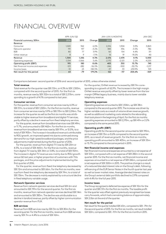### FINANCIAL OVERVIEW

|                                   |          | APR-JUN/Q2<br>JAN-JUN/6 MONTHS |           |          |          |           | JAN-DEC         |  |
|-----------------------------------|----------|--------------------------------|-----------|----------|----------|-----------|-----------------|--|
| Financial summary, SEKm           | 2016     | 2015                           | Change    | 2016     | 2015     | Change    | 2015            |  |
| Revenue                           |          |                                |           |          |          |           |                 |  |
| Consumer                          | 1,020    | 962                            | 6.0%      | 2,016    | 1.904    | 5.9%      | 3,863           |  |
| Network operator                  | 191      | 197                            | $-3.2%$   | 383      | 396      | $-3.5%$   | 786             |  |
| B <sub>2</sub> B                  | 80       | 77                             | 3.9%      | 161      | 154      | 4.4%      | 311             |  |
| Other revenue                     | R        | $\circ$                        | $-7.1\%$  | 16       | 19       | $-19.2%$  | 4C              |  |
| Revenue                           | 1,300    | 1,246                          | 4.3%      | 2.576    | 2,474    | 4.1%      | 5,000           |  |
| Operating expenses                | $-1.104$ | $-1.066$                       | 3.6%      | $-2.170$ | $-2.123$ | 2.2%      | $-4.255$        |  |
| Operating profit (EBIT)           | 195      | 180                            | 8.6%      | 405      | 350      | 15.7%     | 745             |  |
| Net financial income and expenses | $-123$   | $-282$                         | -56.5%    | $-246$   | $-500$   | $-50.7\%$ | $-1.217$        |  |
| Income taxes                      | $-10$    | 23                             | $-142.5%$ | $-37$    | 33       | $-210.9%$ | 10 <sup>7</sup> |  |
| Net result for the period         | 63       | -79                            | 179.2%    | 122      | $-117$   | 204.6%    | -369            |  |

Comparisons between second quarter of 2016 and second quarter of 2015, unless otherwise stated.

#### **Total revenue**

Total revenue for the quarter rose SEK 53m, or 4.3% to SEK 1,300m, compared with the second quarter of 2015. For the first six months, revenue rose by SEK 102m to a total of SEK 2,576m, corresponding to a growth of 4.1% compared to last year.

#### **Consumer services**

For the quarter, revenue from consumer services rose by 6.0% or SEK 57m, to a total of SEK 1,020m. For the first six months, revenue from consumer services rose by 5.9% or SEK 113m to SEK 2,016m. The increase for the quarter as well as the first six months was attributable to higher revenue from broadband and digital-TV services, partly offset by a decline in revenue from fixed-telephony services.

For the quarter, revenue from broadband services rose SEK 49m, or 11.7%, and amounted to SEK 462m. For the first six months, revenue from broadband services rose by SEK 97m, or 12.0%, to a total of SEK 905m. The increase in broadband revenue is attributable to RGU growth, an improved speed mix due to continued strong demand for our high-speed broadband packages, and the price adjustments implemented during the first quarter of 2016.

For the quarter, revenue from digital-TV rose by SEK 20m or 4.5%, to a total of SEK 465m. For the first six months, revenue from digital-TV rose by SEK 34m or 3.8%, to a total of SEK 921m. The increase in digital-TV revenue was mainly due to RGU growth versus Q2 last year, a higher proportion of customers with TiVo packages, and the price adjustments implemented during the first quarter of 2016.

For the quarter, revenue from fixed-line telephony decreased by SEK 12m and amounted to SEK 66m. For the first six months, revenue from fixed-line telephony decreased by SEK 19m, to a total of SEK 136m. The decrease is mainly explained by a structural decline in fixed telephony variable usage.

#### **Network Operator services**

Revenue from network operator services declined SEK 6m and amounted to SEK 191m for the second quarter. For the first six months, revenue from network operator services declined SEK 14m and amounted to SEK 383m. The decline was attributable to a decline in landlord revenue, partly offset by higher communication operator revenue from iTUX.

#### **B2B services**

Revenue from B2B services rose by SEK 3m to SEK 80m for the second quarter. For the first six months, revenue from B2B services rose by SEK 7m or 4.4% to a total of SEK 161m.

For the quarter, OnNet revenue increased by SEK 9m corresponding to a growth of 62,9%. The increase in the high margin OnNet revenue was partly offset by lower revenue from the low margin OffNet legacy business, mainly due to lower variable telephony revenue.

#### **Operating expenses**

Operating expenses amounted to SEK 1,104m, up SEK 38m compared to the second quarter 2015. The increase was driven by higher variable costs as a result of volume driven revenue growth, as well as additional marketing costs related to the rebranding that took place in the beginning of April. For the first six months operating expenses amounted to SEK 2,170m, up SEK 47m or 2.2% compared to the same period 2015.

#### **Operating profit (EBIT)**

Operating profit for the second quarter amounted to SEK 195m, an increase of SEK 15m or 8.6% compared to the second quarter 2015, as a result of revenue growth. For the first six months, operating profit amounted to SEK 405m, an increase of SEK 55m or 15.7% compared to the same period in 2015.

#### **Net financial income and expenses**

Net financial income and expenses amounted to a net expense of SEK 123m, compared with a net expense of SEK 282m in the second quarter 2015. For the first six months, net financial income and expenses amounted to a net expense of SEK 246m, compared with a net expense of SEK 500m in 2015. The positive change is a result of a reduced blended interest rate on the Group's debt, following refinancing of the EUR Senior Notes in the fourth quarter last year as well as lower market rates. Average blended interest rates on the Group's external debt portfolio declined to 2.9% compared with 4.4% for the full year 2015.

#### **Income taxes**

The Group recognised a deferred tax expense of SEK 10m for the quarter and SEK 37m for the first six months. The taxable profit for the quarter was offset against previously recognised tax losses carry forwards, which had a remaining balance of approximately SEK 2.0bn at the end of the quarter.

#### **Net result for the period**

Net result for the quarter totalled SEK 63m, compared to SEK -79m for the second quarter of 2015. For the first six months, net result totalled SEK 122m, compared to SEK -117m for the first six months in 2015.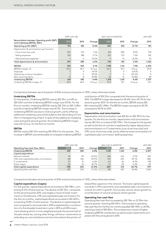|                                                                               | APR-JUN/Q2 |      |             |       | <b>JAN-JUN/6 MONTHS</b> |           | JAN-DEC      |
|-------------------------------------------------------------------------------|------------|------|-------------|-------|-------------------------|-----------|--------------|
| Reconciliation between Operating profit (EBIT)<br>and Underlying EBITDA, SEKm | 2016       | 2015 | Change      | 2016  | 2015                    | Change    | 2015         |
| Operating profit (EBIT)                                                       | 195        | 180  | 8.6%        | 405   | 350                     | 15.7%     | 745          |
| Depreciation & amortisation per function                                      |            |      |             |       |                         |           |              |
| - Cost of services sold                                                       | 209        | 195  | 7.2%        | 414   | 380                     | 8.9%      | 778          |
| - Selling expenses                                                            | 183        | 188  | $-2.7\%$    | 367   | 372                     | $-1.3%$   | 742          |
| - Administrative expenses                                                     | 5          | 6    | $-14.5%$    | 11    | 13                      | $-15.3%$  | 25           |
| Total depreciation & amortisation                                             | 397        | 389  | 2.0%        | 793   | 765                     | 3.5%      | 1,545        |
| <b>EBITDA</b>                                                                 | 592        | 569  | 4.1%        | 1,198 | 1,116                   | 7.3%      | 2,290        |
| EBITDA margin, %                                                              | 45.6       | 45.7 | $-0.1 p.p.$ | 46.5  | 45.1                    | 1.4 p.p.  | 45.8         |
| <b>Disposals</b>                                                              |            | 9    | -64.1%      |       | 9                       | $-64.1%$  | 9            |
| Operating currency loss/gains                                                 | $-1$       | $-2$ | $-59.0\%$   | $-2$  | 9                       | $-123.2%$ | <sup>8</sup> |
| Non-recurring items                                                           | 15         | 8    | 87.8%       | 20    | 31                      | -36.8%    | 49           |
| <b>Underlying EBITDA</b>                                                      | 610        | 585  | 4.4%        | 1,218 | 1,165                   | 4.6%      | 2,357        |
| Underlying EBITDA margin, %                                                   | 47.0       | 46.9 | 0.0 p.p.    | 47.3  | 47.1                    | 0.2 p.p.  | 47.1         |

Comparisons between second quarter of 2016 and second quarter of 2015, unless otherwise stated.

#### **Underlying EBITDA**

**EBITDA**

For the quarter, Underlying EBITDA rose by SEK 25m or 4.4% to SEK 610m and the Underlying EBITDA margin was 47.0%. For the first six months, Underlying EBITDA rose by SEK 53m to SEK 1,218m and the Underlying EBITDA margin was 47.3%. The increase in Underlying EBITDA was due to revenue growth, partly offset by additional marketing costs attributable to the rebranding of Com Hem in the beginning of April. In spite of the additional marketing costs during the second quarter, the Underlying EBITDA margin rose with 0.2 p.p. for the first six months.

EBITDA rose by SEK 23m reaching SEK 592m for the quarter. The increase in EBITDA was attributable to increased Underlying EBITDA

#### contribution of SEK 25m compared with the second quarter of 2015. The EBITDA margin decreased to 45.6%, from 45.7% for the second quarter 2015. For the first six months, EBITDA rose by SEK 82m reaching SEK 1,198m. The EBITDA margin was equal to 46.5% compared to 45.1% for 2015.

#### **Depreciation and amortisation**

Depreciation and amortisation rose SEK 8m to SEK 397m for the quarter. For the first six months, depreciation and amortisation rose by SEK 27m to a total of SEK 793m. The increase for the quarter as well as the first six months is explained by higher depreciation and amortisation on IT investments (cost of services sold) and CPEs (cost of services sold), partly offset by lower amortisation of capitalised sales commission (selling expenses).

|                                        |        | APR-JUN/Q2 |           |        | JAN-JUN/6 MONTHS |           | <b>JAN-DEC</b> |
|----------------------------------------|--------|------------|-----------|--------|------------------|-----------|----------------|
| Operating free cash flow, SEKm         | 2016   | 2015       | Change    | 2016   | 2015             | Change    | 2015           |
| <b>Underlying EBITDA</b>               | 610    | 585        | 4.4%      | 1.218  | 1.165            | 4.6%      | 2,357          |
| Capital expenditure                    |        |            |           |        |                  |           |                |
| Network related                        | -76    | -99        | $-23.0%$  | $-148$ | $-163$           | $-97%$    | -332           |
| CPEs and capitalised sales commissions | $-68$  | $-106$     | $-35.9\%$ | $-169$ | $-255$           | $-33.7\%$ | -486           |
| IT investments                         | $-33$  | $-31$      | 6.6%      | $-63$  | -66              | $-4.5%$   | $-128$         |
| Other capex                            | $-20$  | $-14$      | 42.7%     | $-27$  | $-29$            | $-5.3%$   | $-45$          |
| Total capital expenditure              | $-198$ | $-250$     | $-21.0%$  | $-407$ | $-513$           | $-20.7%$  | $-991$         |
| Operating free cash flow               | 413    | 334        | 23.3%     | 811    | 652              | 24.4%     | 1.366          |

Comparisons between second quarter of 2016 and second quarter of 2015, unless otherwise stated.

#### **Capital expenditure (Capex)**

For the quarter, capital expenditure amounted to SEK 198m, comprising 15.2% of total revenue. The decline of SEK 53m, compared to the second quarter 2015, was largely a result of lower investments in the Network, CPE and capitalised sales commission.For the first six months, capital expenditure amounted to SEK 407m, comprising 15.8% of total revenue. The decline in capital expenditure compared to same periods in 2015 is explained by a combination of a frontloaded investment cycle in 2015 and 2016 investment phasing which is more weighted towards the second half of the year where we, among other things, will focus investments on extending our own backbone and over time reduce the portion of

leased fibre capacity in the network. The lower capital expenditure level in CPE investments and capitalised sales commissions is a result of a shift in growth, from purely volume-driven growth to a combination of volume and price-driven growth.

#### **Operating free cash flow**

Operating free cash flow increased by SEK 78m or 23.3%in the second quarter, reaching SEK 413m. The increase in operating free cash flow for the first six months equalled SEK 159m or 24.4%, reaching a total of SEK 811m. The increase was a result of higher Underlying EBITDA contribution as well as lower investments compared with the same period in 2015.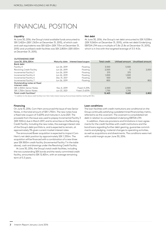### FINANCIAL POSITION

#### **Liquidity**

At June 30, 2016, the Group's total available funds amounted to SEK 3,422m (SEK 1,363m at December 31, 2015), of which cash and cash equivalents was SEK 622m (SEK 713m at December 31, 2015) and unutilised credit facilities was SEK 2,800m (SEK 650m at December 31, 2015).

#### **Net debt**

At June 30, 2016, the Group's net debt amounted to SEK 9,038m (SEK 9,060m at December 31, 2015), while net debt/Underlying EBITDA LTM was a multiple of 3.8x (3.8x at December 31, 2015), which is in line with the targeted leverage of 3.5-4.0x.

| <b>OUTSTANDING DEBT</b>                      |               |                      |                     |                 |                   |
|----------------------------------------------|---------------|----------------------|---------------------|-----------------|-------------------|
| June 30, 2016, SEKm                          | Maturity date | Interest base/coupon | <b>Total credit</b> | Utilised amount | Unutilised amount |
| Bank debt                                    |               |                      |                     |                 |                   |
| Facility A                                   | Jun 26, 2019  | Floating             | 3.500               | 3.500           |                   |
| Revolving Credit Facility                    | Jun 26, 2019  | Floating             | 2,000               |                 | 2,000             |
| Incremental Facility 2                       | Jun 26, 2019  | Floating             | 375                 | 375             |                   |
| Incremental Facility 4                       | Jun 26, 2019  | Floating             | 1.000               | 1.000           |                   |
| Incremental Facility 6                       | Dec 31, 2017  | Floating             | 500                 | 500             |                   |
| Incremental Facility 7                       | Jun 26, 2019  | Floatina             | 800                 |                 | 800               |
| Outstanding notes at fixed<br>interest rates |               |                      |                     |                 |                   |
| SEK 2.500m Senior Notes                      | Nov 4, 2019   | Fixed   5.25%        | 2.500               | 2.500           |                   |
| SEK 1,750m Senior Notes                      | Jun 23, 2021  | Fixed   3.625%       | 1.750               | 1,750           |                   |
| Total credit facilities <sup>1)</sup>        |               |                      | 12,425              | 9.625           | 2,800             |

1) In addition to the above credit facilities Com Hem holds interest-bearing financial lease liabilities totalling SEK 35m.

#### **Financing**

On June 10, 2016, Com Hem announced the issue of new Senior Notes, in the total amount of SEK 1,750m. The new notes have a fixed rate coupon of 3.625% and matures in June 2021. The proceeds from the issue was used to prepay Incremental Facility 3 (SEK 500m) due in March 2017, and to amortise on the Revolving Credit Facility. Including the new notes, the average interest rate of the Group's debt portfolio is, and is expected to remain, at approximately 3% given current market interest rates.

The announced Boxer acquisition is expected to impact Com Hem's net debt position by approximately SEK 1,330m. The acquisition will be financed with a combination of a new three year SEK 800m credit facility (Incremental Facility 7 in the table above), cash and drawings under the Revolving Credit Facility.

At June 30, 2016, the Group's total credit facilities, including the two outstanding SEK bonds and the newly committed credit facility, amounted to SEK 12,425m, with an average remaining term of 3.3 years.

#### **Loan conditions**

The loan facilities with credit institutions are conditional on the Group continually satisfying a predetermined financial key metric, referred to as the covenant. The covenant is consolidated net debt in relation to consolidated Underlying EBITDA LTM.

In addition, there are provisions and limitations in loan agreements for the credit facilities with credit institutions and the bond loans regarding further debt gearing, guarantee commitments and pledging, material changes to operating activities, as well as acquisitions and divestments. The conditions were met with a solid margin as per June 30, 2016.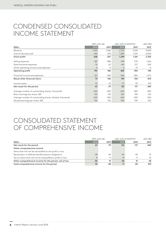### CONDENSED CONSOLIDATED INCOME STATEMENT

|                                                          |        | APR-JUN/Q2 | JAN-JUN/6 MONTHS |          | <b>JAN-DEC</b> |
|----------------------------------------------------------|--------|------------|------------------|----------|----------------|
| <b>SEKm</b>                                              | 2016   | 2015       | 2016             | 2015     | 2015           |
| Revenue                                                  | 1,300  | 1,246      | 2,576            | 2,474    | 5,000          |
| Cost of services sold                                    | $-642$ | $-619$     | $-1,282$         | $-1,213$ | $-2,464$       |
| Gross profit                                             | 658    | 627        | 1,294            | 1,261    | 2,536          |
| Selling expenses                                         | $-381$ | $-380$     | $-744$           | $-770$   | $-1,516$       |
| Administrative expenses                                  | $-76$  | $-62$      | $-145$           | $-127$   | $-269$         |
| Other operating income and expenses                      | $-4$   | -5         | 0                | $-13$    | -6             |
| Operating profit                                         | 195    | 180        | 405              | 350      | 745            |
| Financial income and expenses                            | $-123$ | $-282$     | $-246$           | $-500$   | $-1,217$       |
| Result after financial items                             | 73     | $-102$     | 159              | $-150$   | -472           |
| Income taxes                                             | $-10$  | 23         | $-37$            | 33       | 103            |
| Net result for the period                                | 63     | $-79$      | 122              | $-117$   | -369           |
| Average number of outstanding shares, thousands          | 600    | 600        | 600              | 600      | 600            |
| Basic earnings per share, SEK                            | 105    | $-132$     | 203              | $-194$   | $-615$         |
| Average number of outstanding shares, diluted, thousands | 600    | 600        | 600              | 600      | 600            |
| Diluted earnings per share, SEK                          | 105    | $-132$     | 203              | $-194$   | $-615$         |

# CONSOLIDATED STATEMENT OF COMPREHENSIVE INCOME

|                                                              |       | APR-JUN/Q2 |       | JAN-JUN/6 MONTHS |        |
|--------------------------------------------------------------|-------|------------|-------|------------------|--------|
| SEKm                                                         | 2016  | 2015       | 2016  | 2015             | 2015   |
| Net result for the period                                    | 63    | $-79$      | 122   | $-117$           | $-369$ |
| Other comprehensive income                                   |       |            |       |                  |        |
| Items that will not be reclassified to net profit or loss    |       |            |       |                  |        |
| Revaluation of defined-benefit pension obligations           | $-38$ | 40         | -65   | 40               | 75     |
| Tax on items that will not be reclassified to profit or loss |       | $-9$       | 14    | $-Q$             | $-16$  |
| Other comprehensive income for the period, net of tax        | -30   | 31         | $-50$ | 31               | 58     |
| Total comprehensive income for the period                    | 33    | -48        | 71    | -85              | $-310$ |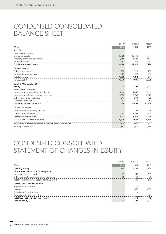### CONDENSED CONSOLIDATED BALANCE SHEET

|                                                           | <b>JUN 30</b> | <b>JUN 30</b> | <b>DEC 31</b> |
|-----------------------------------------------------------|---------------|---------------|---------------|
| <b>SEKm</b>                                               | 2016          | 2015          | 2015          |
| <b>ASSETS</b>                                             |               |               |               |
| Non-current assets                                        |               |               |               |
| Intangible assets                                         | 15,128        | 15,780        | 15,451        |
| Property, plant and equipment                             | 1,465         | 1.505         | 1,531         |
| Financial assets                                          | 1,597         | 241           | 942           |
| Total non-current assets                                  | 18,190        | 17,525        | 17,924        |
| <b>Current assets</b>                                     |               |               |               |
| Other current assets                                      | 958           | 790           | 958           |
| Cash and cash equivalents                                 | 622           | 681           | 713           |
| Total current assets                                      | 1,580         | 1.471         | 1,671         |
| <b>TOTAL ASSETS</b>                                       | 19,770        | 18,996        | 19,595        |
| <b>EQUITY AND LIABILITIES</b>                             |               |               |               |
| Equity                                                    | 1,114         | 793           | 1,041         |
| Non-current liabilities                                   |               |               |               |
| Non-current interest-bearing liabilities                  | 9,541         | 9,442         | 9,151         |
| Non-current liabilities to group companies                | 6,972         | 6,769         | 6,873         |
| Other non-current liabilities                             | 246           | 204           | 176           |
| Deferred tax liabilities                                  | 282           | 188           | 259           |
| Total non-current liabilities                             | 17,040        | 16,603        | 16,459        |
| <b>Current liabilities</b>                                |               |               |               |
| Current interest-bearing liabilities                      | 23            | 32            | 528           |
| Other current liabilities                                 | 1,593         | 1,569         | 1,566         |
| <b>Total current liabilities</b>                          | 1,617         | 1,601         | 2,094         |
| <b>TOTAL EQUITY AND LIABILITIES</b>                       | 19,770        | 18,996        | 19,595        |
| Number of outstanding shares, at end of period, thousands | 600           | 600           | 600           |
| Equity per share, SEK                                     | 1,857         | 1,321         | 1,735         |

### CONDENSED CONSOLIDATED STATEMENT OF CHANGES IN EQUITY

|                                           | <b>JUN 30</b> | <b>JUN 30</b> | <b>DEC 31</b> |
|-------------------------------------------|---------------|---------------|---------------|
| <b>SEKm</b>                               | 2016          | 2015          | 2015          |
| Opening equity                            | 1.041         | 1,236         | 1,236         |
| Comprehensive income for the period       |               |               |               |
| Net result for the period                 | 122           | $-117$        | $-369$        |
| Other comprehensive income for the period | $-50$         | 31            | .58           |
| Total comprehensive income for the period | 71            | -85           | $-310$        |
| Transactions with the owners              |               |               |               |
| Repurchase of warrants                    |               | $\sim$        |               |
| Dividend                                  |               | $-357$        | $-357$        |
| Shareholder's contribution                |               |               |               |
| Group contribution, net of tax            |               |               | 474           |
| Total transactions with the owners        |               | $-358$        | 116           |
| Closing equity                            | 1.114         | 793           | 1,041         |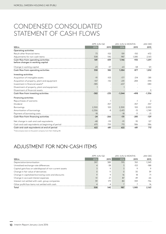### CONDENSED CONSOLIDATED STATEMENT OF CASH FLOWS

|                                                                          |          | APR-JUN/Q2 |          | JAN-JUN/6 MONTHS |          |
|--------------------------------------------------------------------------|----------|------------|----------|------------------|----------|
| <b>SEKm</b>                                                              | 2016     | 2015       | 2016     | 2015             | 2015     |
| Operating activities                                                     |          |            |          |                  |          |
| Result after financial items                                             | 73       | $-102$     | 159      | $-150$           | $-472$   |
| Adjustments for non-cash items                                           | 508      | 542        | 987      | 1,085            | 2,163    |
| Cash flow from operating activities<br>before changes in working capital | 581      | 439        | 1,146    | 935              | 1,691    |
| Change in working capital                                                | $-23$    | $-57$      | $-63$    | $-58$            | 121      |
| Cash flow from operating activities                                      | 558      | 382        | 1,084    | 877              | 1,812    |
| Investing activities                                                     |          |            |          |                  |          |
| Acquisition of intangible assets                                         | $-91$    | $-103$     | $-177$   | $-214$           | $-381$   |
| Acquisition of property, plant and equipment                             | $-107$   | $-132$     | $-231$   | $-284$           | $-594$   |
| Investment in financial assets <sup>1)</sup>                             | $-385$   |            | $-637$   |                  | $-580$   |
| Divestment of property, plant and equipment                              |          |            |          |                  |          |
| Divestment of financial assets                                           |          |            |          |                  | 0        |
| Cash flow from investing activities                                      | $-582$   | $-235$     | $-1,044$ | $-498$           | $-1,556$ |
| <b>Financing activities</b>                                              |          |            |          |                  |          |
| Repurchases of warrants                                                  |          | $-1$       |          | $-1$             | $-2$     |
| Dividend                                                                 |          | $-357$     |          | $-357$           | $-357$   |
| <b>Borrowings</b>                                                        | 2,300    | 100        | 2,300    | 100              | 2,000    |
| Amortisation of borrowings                                               | $-2,306$ | -8         | $-2,413$ | $-15$            | $-1,749$ |
| Payment of borrowing costs                                               | $-18$    |            | $-18$    | $-11$            | $-21$    |
| Cash flow from financing activities                                      | $-24$    | $-266$     | $-131$   | $-285$           | $-129$   |
| Net change in cash and cash equivalents                                  | $-48$    | $-119$     | $-91$    | 95               | 127      |
| Cash and cash equivalents at beginning of period                         | 670      | 799        | 713      | 586              | 586      |
| Cash and cash equivalents at end of period                               | 622      | 681        | 622      | 681              | 713      |

1) Intercompany loans to the parent company Com Hem Holding AB.

### ADJUSTMENT FOR NON-CASH ITEMS

|                                                          |      | $APR$ -JUN/ $Q2$ |      | JAN-JUN/6 MONTHS |        |
|----------------------------------------------------------|------|------------------|------|------------------|--------|
| SEKm                                                     | 2016 | 2015             | 2016 | 2015             | 2015   |
| Depreciation/amortisation                                | 397  | 389              | 793  | 765              | 1.545  |
| Unrealised exchange-rate differences                     |      | -38              |      | $-153$           | $-188$ |
| Capital gain/loss on sale/disposal of non-current assets |      | 9                |      |                  | 9      |
| Change in fair value of derivatives                      |      | 11               |      | 30               | 39     |
| Change in capitalised borrowing costs and discounts      |      | 9                | 16   | 18               | 71     |
| Change in accrued interest expenses                      | 51   | $-21$            | 87   | 49               | -66    |
| Interest not settled with cash, group companies          | 39   | 179              | 80   | 359              | 736    |
| Other profit/loss items not settled with cash            |      | 4                |      |                  | 16     |
| Total                                                    | 508  | 542              | 987  | 1.085            | 2.163  |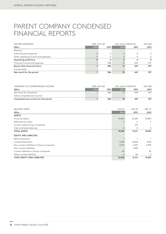### PARENT COMPANY CONDENSED FINANCIAL REPORTS

| <b>INCOME STATEMENT</b>             | APR-JUN/Q2 |      | JAN-JUN/6 MONTHS |      | JAN-DEC |
|-------------------------------------|------------|------|------------------|------|---------|
| <b>SEKm</b>                         | 2016       | 2015 | 2016             | 2015 | 2015    |
| Revenue                             |            |      |                  |      |         |
| Administrative expenses             |            | 0    |                  |      |         |
| Other operating income and expenses |            |      |                  |      |         |
| Operating profit/loss               |            | 0    |                  |      |         |
| Financial income and expenses       |            | 386  | 15               | 447  | 357     |
| Result after financial items        |            | 386  | 15               | 447  | 357     |
| Income taxes                        |            |      |                  |      |         |
| Net result for the period           |            | 386  | 15               | 447  | 357     |

| STATEMENT OF COMPREHENSIVE INCOME   | $APR$ -JUN/ $Q2$ |      | JAN-JUN/6 MONTHS |      | JAN-DFC |
|-------------------------------------|------------------|------|------------------|------|---------|
| SEKm                                | 2016             | 2015 | 2016             | 2015 | 2015    |
| Net result for the period           |                  | 386  | 15               | 447  | 357     |
| Other comprehensive income          |                  |      |                  |      |         |
| Comprehensive income for the period |                  | 386  |                  | 447  | 357     |

| <b>BALANCE SHEET</b>                       | <b>JUN 30</b> | <b>JUN 30</b> | <b>DEC 31</b> |
|--------------------------------------------|---------------|---------------|---------------|
| SEKm                                       | 2016          | 2015          | 2015          |
| <b>ASSETS</b>                              |               |               |               |
| Financial assets                           | 10,940        | 12,258        | 10,829        |
| Deferred tax assets                        |               |               | 2             |
| Current assets Group companies             |               | 251           |               |
| Cash and bank balances                     |               |               | 0             |
| <b>TOTAL ASSETS</b>                        | 10,942        | 12,511        | 10,831        |
| <b>EQUITY AND LIABILITIES</b>              |               |               |               |
| Restricted equity                          |               |               |               |
| Unrestricted equity                        | 3,928         | 4,004         | 3,914         |
| Non-current liabilities to Group companies | 6,972         | 6,769         | 6,874         |
| Non-current liabilities                    |               | 1,694         |               |
| Current liabilities to Group companies     | 42            |               | 42            |
| Other current liabilities                  | $\Omega$      | 44            | 0             |
| <b>TOTAL EQUITY AND LIABILITIES</b>        | 10,942        | 12,511        | 10,831        |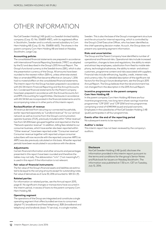# OTHER INFORMATION

NorCell Sweden Holding 2 AB (publ) is a Swedish limited liability company (Corp. ID. No. 556859-4187), with its registered office in Stockholm, Sweden and is a wholly owned subsidiary to Com Hem Holding AB (Corp. ID. No. 556858-6613). The shares in the parent company Com Hem Holding AB are listed on Nasdaq Stockholm, Large Cap.

#### **Accounting policies**

The consolidated financial statements are prepared in accordance with International Financial Reporting Standards ("IFRS") as adopted by the EU and described in the Group's 2015 Annual Report. The Group's functional currency is the Swedish krona (SEK), which is also the presentation currency of the Group. All amounts have been rounded to the nearest million (SEKm), unless otherwise stated. New or amended IFRSs that became effective on January 1, 2016 had no material effect on the consolidated financial statements. The interim report for the Group has been prepared in accordance with IAS 34 Interim Financial Reporting and the Annual Accounts Act. Condensed financial statements for the Parent Company have been prepared in accordance with the Annual Accounts Act and RFR 2 Accounting for Legal Entities. Disclosures in accordance with IAS 34.16A are incorporated in the financial statements and its accompanying notes or in other parts of this interim report.

#### **Reclassification of revenue**

All revenue derived from securing our connected households, earlier reported separately as "Landlord revenue" for our vertical network as well as income from the Group's communication operator business (iTUX), previously included within "Other revenue", has from Q1 2016 been grouped together and reported on the line "Network operator revenue". In addition, billing fees related to our consumer business, which have earlier also been reported within "Other revenue", have been reported under "Consumer revenue". Consumer revenue together with reported unique consumer subscribers will now reconcile with the reported consumer ARPU as ARPU was also previously calculated on this basis. All earlier reported periods have been recalculated in accordance with the above.

#### **Adjustments**

Certain financial information and other amounts and percentages presented in this report have been rounded and therefore the tables may not tally. The abbreviation "n/m" ("not meaningful") is used in this report if the information is not relevant.

#### **Fair value of financial instruments**

The fair value of the Group's financial assets and liabilities are estimated to be equal to the carrying amounts except for outstanding notes. Fair value of derivatives as of June 30, 2016 amounted to SEK 0m (9).

#### **Related parties**

For information on related parties, see the Annual report 2015, page 61. No significant changes or transactions have occurred in the interim period, in excess of loans to the parent company Com Hem Holding AB.

#### **Operating segment**

The operations of the Group are integrated and constitute a single operating segment that offers bundled services to consumers (digital-TV, broadband and fixed telephony), B2B (broadband and telephony) and landlords (basic TV service), in a single market,

Sweden. This is also the base of the Group's management structure and the structure for internal reporting, which is controlled by the Group's Chief Executive Officer, who has been identified as the chief operating decision maker. As such, the Group does not present any operating segment information.

#### **Risks and uncertainties**

The Group and the Parent Company have identified a number of operational and financial risks. Operational risks include increased competition, changes to laws and regulations, the ability to retain and attract key employees, substitution from fixed to mobile telephony, technological advances, the ability to retain and attract customers, programme content and risks associated with suppliers. Financial risks include refinancing, liquidity, credit, interest rate, and currency risks. For a detailed description of the significant risk factors for the Group's future development, see the Group's 2015 Annual Report. The Group believes that the risk environment has not changed from the description in the 2015 Annual Report.

#### **Incentive programmes in the parent company Com Hem Holding AB**

In the parent company Com Hem Holding AB there are four incentive programmes, two long-term share-savings incentive programmes "LTIP 2015" and "LTIP 2016"and two programmes comprising a total of 4,949,944 issued and paid warrants. Employees in the subsidiaries of NorCell Sweden Holding 2 AB (publ) participates in all four programmes.

#### **Events after the end of the reporting period**

No subsequent events to be reported.

#### **Auditor´s review**

This interim report has not been reviewed by the company´s auditors.

#### **Disclosure**

NorCell Sweden Holding 2 AB (publ) discloses the information provided in this interim report pursuant to the terms and conditions for the group's Senior Notes and Rule book for Issuers on Nasdaq Stockholm. The information was published at 7.30 a.m. CET on Tuesday, July 12, 2016.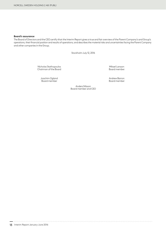#### **Board's assurance**

The Board of Directors and the CEO certify that the Interim Report gives a true and fair overview of the Parent Company's and Group's operations, their financial position and results of operations, and describes the material risks and uncertainties facing the Parent Company and other companies in the Group.

Stockholm July 12, 2016

Nicholas Stathopoulos Mikael Larsson Chairman of the Board Board member

Joachim Ogland Andrew Barron

Board member

Anders Nilsson Board member and CEO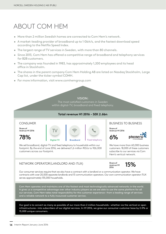### ABOUT COM HEM

- More than 2 million Swedish homes are connected to Com Hem's network.
- A market-leading provider of broadband up to 1 Gbit/s, and the fastest download speed according to the Netflix Speed Index.
- The largest range of TV services in Sweden, with more than 80 channels.
- Since 2013, Com Hem has offered a competitive range of broadband and telephony services for B2B customers.
- The company was founded in 1983, has approximately 1,200 employees and its head office in Stockholm.
- The shares in the parent company Com Hem Holding AB are listed on Nasdaq Stockholm, Large Cap list, under the ticker symbol COMH.
- For more information, visit www.comhemgroup.com

#### VISION:

The most satisfied customers in Sweden within digital-TV, broadband and fixed telephony.

#### **Total revenue H1 2016 - SEK 2.6bn**

#### **CONSUMER** BUSINESS TO BUSINESS TO BUSINESS TO BUSINESS TO BUSINESS TO BUSINESS TO BUSINESS TO BUSINESS TO BUSINESS TO BUSINESS TO BUSINESS TO BUSINESS TO BUSINESS TO BUSINESS TO BUSINESS TO BUSINESS TO BUSINESS TO BUSINES

Share of revenue H1 2016

78%





6% Share of revenue H1 2016

phoner

We have more than 60,000 business customers. 18,000 of these customers subscribe to our services via Com Hem's vertical network.

15%

#### We sell broadband, digital-TV and fixed telephony to households within our footprint. By the end of June 2016, we delivered 1,6 million RGUs to 926,000 customers across our footprint.

#### NETWORK OPERATOR (LANDLORD AND ITUX) Share of



Our consumer services require that we also have a contract with a landlord or a communication operator. We have contracts with over 20,000 separate landlords and 13 communication operators. Our own communication operator iTUX serves approximately 135,000 households.

Com Hem operates and maintains one of the fastest and most technologically advanced networks in the world. It gives us a competitive advantage over other industry players as we are able to use the same platform for all our services. Com Hem takes total responsibility for the customer experience – from a leading range of services and a reliable network to a fully insourced customer service.

Our goal is to convert as many as possible of our more than 2 million households – whether via the vertical or open infrastructures – into subscribers of our digital services. In H1 2016, we grew our consumer customer base by 2.0% or 15,000 unique consumers.